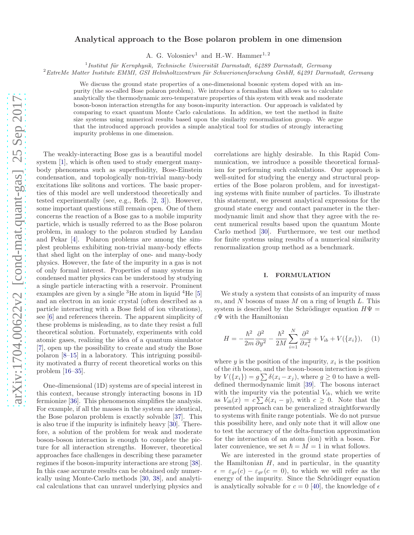# Analytical approach to the Bose polaron problem in one dimension

A. G. Volosniev<sup>1</sup> and H.-W. Hammer<sup>1, 2</sup>

<sup>1</sup> Institut für Kernphysik, Technische Universität Darmstadt, 64289 Darmstadt, Germany

 $2$ ExtreMe Matter Institute EMMI, GSI Helmholtzzentrum für Schwerionenforschung GmbH, 64291 Darmstadt, Germany

We discuss the ground state properties of a one-dimensional bosonic system doped with an impurity (the so-called Bose polaron problem). We introduce a formalism that allows us to calculate analytically the thermodynamic zero-temperature properties of this system with weak and moderate boson-boson interaction strengths for any boson-impurity interaction. Our approach is validated by comparing to exact quantum Monte Carlo calculations. In addition, we test the method in finite size systems using numerical results based upon the similarity renormalization group. We argue that the introduced approach provides a simple analytical tool for studies of strongly interacting impurity problems in one dimension.

The weakly-interacting Bose gas is a beautiful model system [\[1\]](#page-5-0), which is often used to study emergent manybody phenomena such as superfluidity, Bose-Einstein condensation, and topologically non-trivial many-body excitations like solitons and vortices. The basic properties of this model are well understood theoretically and tested experimentally (see, e.g., Refs. [\[2,](#page-5-1) [3](#page-5-2)]). However, some important questions still remain open. One of them concerns the reaction of a Bose gas to a mobile impurity particle, which is usually referred to as the Bose polaron problem, in analogy to the polaron studied by Landau and Pekar [\[4](#page-5-3)]. Polaron problems are among the simplest problems exhibiting non-trivial many-body effects that shed light on the interplay of one- and many-body physics. However, the fate of the impurity in a gas is not of only formal interest. Properties of many systems in condensed matter physics can be understood by studying a single particle interacting with a reservoir. Prominent examples are given by a single  ${}^{3}$ He atom in liquid  ${}^{4}$ He [\[5](#page-5-4)] and an electron in an ionic crystal (often described as a particle interacting with a Bose field of ion vibrations), see [\[6](#page-5-5)] and references therein. The apparent simplicity of these problems is misleading, as to date they resist a full theoretical solution. Fortunately, experiments with cold atomic gases, realizing the idea of a quantum simulator [\[7\]](#page-5-6), open up the possibility to create and study the Bose polaron [\[8](#page-5-7)[–15\]](#page-5-8) in a laboratory. This intriguing possibility motivated a flurry of recent theoretical works on this problem [\[16–](#page-5-9)[35\]](#page-5-10).

One-dimensional (1D) systems are of special interest in this context, because strongly interacting bosons in 1D fermionize [\[36\]](#page-5-11). This phenomenon simplifies the analysis. For example, if all the masses in the system are identical, the Bose polaron problem is exactly solvable [\[37](#page-5-12)]. This is also true if the impurity is infinitely heavy [\[30\]](#page-5-13). Therefore, a solution of the problem for weak and moderate boson-boson interaction is enough to complete the picture for all interaction strengths. However, theoretical approaches face challenges in describing these parameter regimes if the boson-impurity interactions are strong [\[38\]](#page-5-14). In this case accurate results can be obtained only numerically using Monte-Carlo methods [\[30,](#page-5-13) [38](#page-5-14)], and analytical calculations that can unravel underlying physics and

correlations are highly desirable. In this Rapid Communication, we introduce a possible theoretical formalism for performing such calculations. Our approach is well-suited for studying the energy and structural properties of the Bose polaron problem, and for investigating systems with finite number of particles. To illustrate this statement, we present analytical expressions for the ground state energy and contact parameter in the thermodynamic limit and show that they agree with the recent numerical results based upon the quantum Monte Carlo method [\[30](#page-5-13)]. Furthermore, we test our method for finite systems using results of a numerical similarity renormalization group method as a benchmark.

## <span id="page-0-0"></span>I. FORMULATION

We study a system that consists of an impurity of mass m, and N bosons of mass M on a ring of length L. This system is described by the Schrödinger equation  $H\Psi =$  $\varepsilon\Psi$  with the Hamiltonian

$$
H = -\frac{\hbar^2}{2m} \frac{\partial^2}{\partial y^2} - \frac{\hbar^2}{2M} \sum_{i=1}^N \frac{\partial^2}{\partial x_i^2} + V_{ib} + V(\{x_i\}), \quad (1)
$$

where  $y$  is the position of the impurity,  $x_i$  is the position of the ith boson, and the boson-boson interaction is given by  $V({x_i}) = g \sum \delta(x_i - x_j)$ , where  $g \ge 0$  to have a welldefined thermodynamic limit [\[39\]](#page-5-15). The bosons interact with the impurity via the potential  $V_{ib}$ , which we write as  $V_{ib}(x) = c \sum \delta(x_i - y)$ , with  $c \geq 0$ . Note that the presented approach can be generalized straightforwardly to systems with finite range potentials. We do not pursue this possibility here, and only note that it will allow one to test the accuracy of the delta-function approximation for the interaction of an atom (ion) with a boson. For later convenience, we set  $\hbar = M = 1$  in what follows.

We are interested in the ground state properties of the Hamiltonian  $H$ , and in particular, in the quantity  $\epsilon = \epsilon_{gr}(c) - \epsilon_{gr}(c = 0)$ , to which we will refer as the energy of the impurity. Since the Schrödinger equation is analytically solvable for  $c = 0$  [\[40](#page-5-16)], the knowledge of  $\epsilon$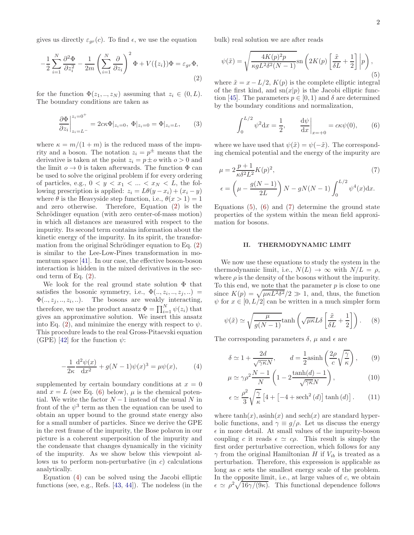gives us directly  $\varepsilon_{gr}(c)$ . To find  $\epsilon$ , we use the equation

$$
-\frac{1}{2}\sum_{i=1}^{N}\frac{\partial^2 \Phi}{\partial z_i^2} - \frac{1}{2m}\left(\sum_{i=1}^{N}\frac{\partial}{\partial z_i}\right)^2 \Phi + V(\{z_i\})\Phi = \varepsilon_{gr}\Phi,
$$
\n(2)

for the function  $\Phi(z_1, \ldots, z_N)$  assuming that  $z_i \in (0, L)$ . The boundary conditions are taken as

<span id="page-1-8"></span>
$$
\frac{\partial \Phi}{\partial z_i}\Big|_{z_i=L^-}^{z_i=0^+} = 2c\kappa \Phi|_{z_i=0}, \ \Phi|_{z_i=0} = \Phi|_{z_i=L}, \tag{3}
$$

where  $\kappa = m/(1 + m)$  is the reduced mass of the impurity and a boson. The notation  $z_i = p^{\pm}$  means that the derivative is taken at the point  $z_i = p \pm o$  with  $o > 0$  and the limit  $o \to 0$  is taken afterwards. The function  $\Phi$  can be used to solve the original problem if for every ordering of particles, e.g.,  $0 < y < x_1 < ... < x_N < L$ , the following prescription is applied:  $z_i = L\theta(y - x_i) + (x_i - y)$ where  $\theta$  is the Heavyside step function, i.e.,  $\theta(x > 1) = 1$ and zero otherwise. Therefore, Equation [\(2\)](#page-1-0) is the Schrödinger equation (with zero center-of-mass motion) in which all distances are measured with respect to the impurity. Its second term contains information about the kinetic energy of the impurity. In its spirit, the transformation from the original Schrödinger equation to Eq.  $(2)$ is similar to the Lee-Low-Pines transformation in momentum space [\[41\]](#page-5-17). In our case, the effective boson-boson interaction is hidden in the mixed derivatives in the second term of Eq. [\(2\)](#page-1-0).

We look for the real ground state solution  $\Phi$  that satisfies the bosonic symmetry, i.e.,  $\Phi(., z_i, ..., z_j, ...)$  $\Phi(., z_j, ..., z_i, ...)$ . The bosons are weakly interacting, therefore, we use the product ansatz  $\Phi = \prod_{i=1}^{N} \psi(z_i)$  that gives an approximative solution. We insert this ansatz into Eq. [\(2\)](#page-1-0), and minimize the energy with respect to  $\psi$ . This procedure leads to the real Gross-Pitaevski equation (GPE) [\[42](#page-5-18)] for the function  $\psi$ :

$$
-\frac{1}{2\kappa} \frac{d^2 \psi(x)}{dx^2} + g(N-1)\psi(x)^3 = \mu \psi(x), \quad (4)
$$

supplemented by certain boundary conditions at  $x = 0$ and  $x = L$  (see Eq. [\(6\)](#page-1-1) below),  $\mu$  is the chemical potential. We write the factor  $N-1$  instead of the usual N in front of the  $\psi^3$  term as then the equation can be used to obtain an upper bound to the ground state energy also for a small number of particles. Since we derive the GPE in the rest frame of the impurity, the Bose polaron in our picture is a coherent superposition of the impurity and the condensate that changes dynamically in the vicinity of the impurity. As we show below this viewpoint allows us to perform non-perturbative (in  $c$ ) calculations analytically.

Equation [\(4\)](#page-1-2) can be solved using the Jacobi elliptic functions (see, e.g., Refs. [\[43](#page-5-19), [44](#page-5-20)]). The nodeless (in the bulk) real solution we are after reads

<span id="page-1-3"></span>
$$
\psi(\tilde{x}) = \sqrt{\frac{4K(p)^2p}{\kappa g L^2 \delta^2 (N-1)}} \text{sn}\left(2K(p)\left[\frac{\tilde{x}}{\delta L} + \frac{1}{2}\right] \middle| p\right),\tag{5}
$$

<span id="page-1-0"></span>where  $\tilde{x} = x - L/2$ ,  $K(p)$  is the complete elliptic integral of the first kind, and  $\text{sn}(x|p)$  is the Jacobi elliptic func-tion [\[45\]](#page-5-21). The parameters  $p \in [0, 1)$  and  $\delta$  are determined by the boundary conditions and normalization,

<span id="page-1-4"></span><span id="page-1-1"></span>
$$
\int_0^{L/2} \psi^2 dx = \frac{1}{2}, \qquad \frac{d\psi}{dx}\Big|_{x=+0} = c\kappa \psi(0), \qquad (6)
$$

where we have used that  $\psi(\tilde{x}) = \psi(-\tilde{x})$ . The corresponding chemical potential and the energy of the impurity are

$$
\mu = 2 \frac{p+1}{\kappa \delta^2 L^2} K(p)^2,
$$
\n
$$
\epsilon = \left(\mu - \frac{g(N-1)}{2L}\right) N - gN(N-1) \int_0^{L/2} \psi^4(x) dx.
$$
\n(7)

Equations  $(5)$ ,  $(6)$  and  $(7)$  determine the ground state properties of the system within the mean field approximation for bosons.

## II. THERMODYNAMIC LIMIT

We now use these equations to study the system in the thermodynamic limit, i.e.,  $N(L) \rightarrow \infty$  with  $N/L = \rho$ , where  $\rho$  is the density of the bosons without the impurity. To this end, we note that the parameter  $p$  is close to one since  $K(p) = \sqrt{\mu \kappa L^2 \delta^2}/2 \gg 1$ , and, thus, the function  $\psi$  for  $x \in [0, L/2]$  can be written in a much simpler form

<span id="page-1-6"></span>
$$
\psi(\tilde{x}) \simeq \sqrt{\frac{\mu}{g(N-1)}} \tanh\left(\sqrt{\mu\kappa}L\delta\left[\frac{\tilde{x}}{\delta L} + \frac{1}{2}\right]\right). \tag{8}
$$

<span id="page-1-2"></span>The corresponding parameters  $\delta$ ,  $\mu$  and  $\epsilon$  are

<span id="page-1-7"></span>
$$
\delta \simeq 1 + \frac{2d}{\sqrt{\gamma \kappa} N}, \qquad d = \frac{1}{2} \operatorname{asinh}\left(\frac{2\rho}{c} \sqrt{\frac{\gamma}{\kappa}}\right), \qquad (9)
$$

$$
\mu \simeq \gamma \rho^2 \frac{N-1}{N} \left( 1 - 2 \frac{\tanh(d) - 1}{\sqrt{\gamma \kappa} N} \right),\tag{10}
$$

<span id="page-1-5"></span>
$$
\epsilon \simeq \frac{\rho^2}{3} \sqrt{\frac{\gamma}{\kappa}} \left[ 4 + \left[ -4 + \mathrm{sech}^2\left( d \right) \right] \tanh\left( d \right) \right]. \tag{11}
$$

where  $tanh(x)$ ,  $asinh(x)$  and  $sech(x)$  are standard hyperbolic functions, and  $\gamma \equiv g/\rho$ . Let us discuss the energy  $\epsilon$  in more detail. At small values of the impurity-boson coupling c it reads  $\epsilon \simeq c\rho$ . This result is simply the first order perturbative correction, which follows for any  $\gamma$  from the original Hamiltonian H if  $V_{ib}$  is treated as a perturbation. Therefore, this expression is applicable as long as c sets the smallest energy scale of the problem. In the opposite limit, i.e., at large values of  $c$ , we obtain  $\epsilon \simeq \rho^2 \sqrt{16\gamma/(9\kappa)}$ . This functional dependence follows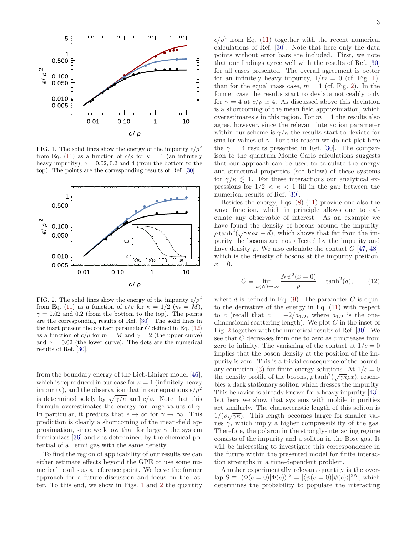

<span id="page-2-1"></span>FIG. 1. The solid lines show the energy of the impurity  $\epsilon/\rho^2$ from Eq. [\(11\)](#page-1-5) as a function of  $c/\rho$  for  $\kappa = 1$  (an infinitely heavy impurity),  $\gamma = 0.02, 0.2$  and 4 (from the bottom to the top). The points are the corresponding results of Ref. [\[30](#page-5-13)].



<span id="page-2-2"></span>FIG. 2. The solid lines show the energy of the impurity  $\epsilon/\rho^2$ from Eq. [\(11\)](#page-1-5) as a function of  $c/\rho$  for  $\kappa = 1/2$  ( $m = M$ ),  $\gamma = 0.02$  and 0.2 (from the bottom to the top). The points are the corresponding results of Ref. [\[30](#page-5-13)]. The solid lines in the inset present the contact parameter  $C$  defined in Eq. [\(12\)](#page-2-0) as a function of  $c/\rho$  for  $m = M$  and  $\gamma = 2$  (the upper curve) and  $\gamma = 0.02$  (the lower curve). The dots are the numerical results of Ref. [\[30\]](#page-5-13).

from the boundary energy of the Lieb-Liniger model [\[46\]](#page-5-22), which is reproduced in our case for  $\kappa = 1$  (infinitely heavy impurity), and the observation that in our equations  $\epsilon/\rho^2$ is determined solely by  $\sqrt{\gamma/\kappa}$  and  $c/\rho$ . Note that this formula overestimates the energy for large values of  $\gamma$ . In particular, it predicts that  $\epsilon \to \infty$  for  $\gamma \to \infty$ . This prediction is clearly a shortcoming of the mean-field approximation, since we know that for large  $\gamma$  the system fermionizes [\[36\]](#page-5-11) and  $\epsilon$  is determined by the chemical potential of a Fermi gas with the same density.

To find the region of applicability of our results we can either estimate effects beyond the GPE or use some numerical results as a reference point. We leave the former approach for a future discussion and focus on the latter. To this end, we show in Figs. [1](#page-2-1) and [2](#page-2-2) the quantity

3

 $\epsilon/\rho^2$  from Eq. [\(11\)](#page-1-5) together with the recent numerical calculations of Ref. [\[30](#page-5-13)]. Note that here only the data points without error bars are included. First, we note that our findings agree well with the results of Ref. [\[30](#page-5-13)] for all cases presented. The overall agreement is better for an infinitely heavy impurity,  $1/m = 0$  (cf. Fig. [1\)](#page-2-1), than for the equal mass case,  $m = 1$  (cf. Fig. [2\)](#page-2-2). In the former case the results start to deviate noticeably only for  $\gamma = 4$  at  $c/\rho \simeq 4$ . As discussed above this deviation is a shortcoming of the mean field approximation, which overestimates  $\epsilon$  in this region. For  $m = 1$  the results also agree, however, since the relevant interaction parameter within our scheme is  $\gamma/\kappa$  the results start to deviate for smaller values of  $\gamma$ . For this reason we do not plot here the  $\gamma = 4$  results presented in Ref. [\[30](#page-5-13)]. The comparison to the quantum Monte Carlo calculations suggests that our approach can be used to calculate the energy and structural properties (see below) of these systems for  $\gamma/\kappa \leq 1$ . For these interactions our analytical expressions for  $1/2 < \kappa < 1$  fill in the gap between the numerical results of Ref. [\[30](#page-5-13)].

Besides the energy, Eqs.  $(8)-(11)$  $(8)-(11)$  provide one also the wave function, which in principle allows one to calculate any observable of interest. As an example we have found the density of bosons around the impurity,  $\rho \tanh^2(\sqrt{\gamma \kappa} \rho x + d)$ , which shows that far from the impurity the bosons are not affected by the impurity and have density  $\rho$ . We also calculate the contact C [\[47,](#page-5-23) [48\]](#page-5-24), which is the density of bosons at the impurity position,  $x = 0.$ 

<span id="page-2-0"></span>
$$
C \equiv \lim_{L(N) \to \infty} \frac{N\psi^2(x=0)}{\rho} = \tanh^2(d),\qquad(12)
$$

where  $d$  is defined in Eq. [\(9\)](#page-1-7). The parameter  $C$  is equal to the derivative of the energy in Eq. [\(11\)](#page-1-5) with respect to c (recall that  $c = -2/a_{1D}$ , where  $a_{1D}$  is the onedimensional scattering length). We plot  $C$  in the inset of Fig. [2](#page-2-2) together with the numerical results of Ref. [\[30\]](#page-5-13). We see that  $C$  decreases from one to zero as  $c$  increases from zero to infinity. The vanishing of the contact at  $1/c = 0$ implies that the boson density at the position of the impurity is zero. This is a trivial consequence of the bound-ary condition [\(3\)](#page-1-8) for finite energy solutions. At  $1/c = 0$ the density profile of the bosons,  $\rho \tanh^2(\sqrt{\gamma \kappa} \rho x)$ , resembles a dark stationary soliton which dresses the impurity. This behavior is already known for a heavy impurity [\[43\]](#page-5-19), but here we show that systems with mobile impurities act similarly. The characteristic length of this soliton is  $1/(\rho\sqrt{\gamma\kappa})$ . This length becomes larger for smaller values  $\gamma$ , which imply a higher compressibility of the gas. Therefore, the polaron in the strongly-interacting regime consists of the impurity and a soliton in the Bose gas. It will be interesting to investigate this correspondence in the future within the presented model for finite interaction strengths in a time-dependent problem.

Another experimentally relevant quantity is the overlap  $S \equiv |\langle \Phi(c = 0)|\Phi(c)\rangle|^2 = |\langle \psi(c = 0)|\psi(c)\rangle|^{2N}$ , which determines the probability to populate the interacting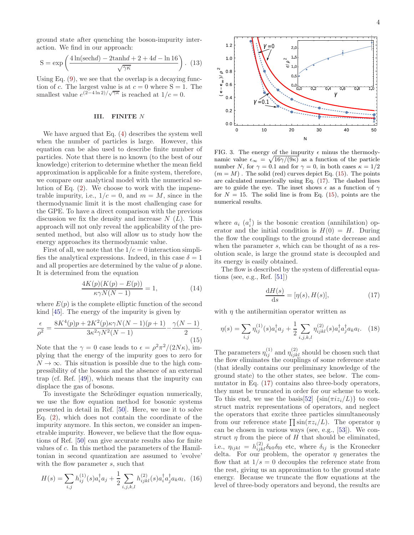ground state after quenching the boson-impurity interaction. We find in our approach:

$$
S = \exp\left(\frac{4\ln(\text{sech}d) - 2\tanh d + 2 + 4d - \ln 16}{\sqrt{\gamma\kappa}}\right). (13)
$$

Using Eq.  $(9)$ , we see that the overlap is a decaying function of c. The largest value is at  $c = 0$  where  $S = 1$ . The smallest value  $e^{(2-4\ln 2)/\sqrt{\gamma\kappa}}$  is reached at  $1/c = 0$ .

### III. FINITE N

We have argued that Eq. [\(4\)](#page-1-2) describes the system well when the number of particles is large. However, this equation can be also used to describe finite number of particles. Note that there is no known (to the best of our knowledge) criterion to determine whether the mean field approximation is applicable for a finite system, therefore, we compare our analytical model with the numerical solution of Eq. [\(2\)](#page-1-0). We choose to work with the impenetrable impurity, i.e.,  $1/c = 0$ , and  $m = M$ , since in the thermodynamic limit it is the most challenging case for the GPE. To have a direct comparison with the previous discussion we fix the density and increase  $N(L)$ . This approach will not only reveal the applicability of the presented method, but also will allow us to study how the energy approaches its thermodynamic value.

First of all, we note that the  $1/c = 0$  interaction simplifies the analytical expressions. Indeed, in this case  $\delta = 1$ and all properties are determined by the value of p alone. It is determined from the equation

$$
\frac{4K(p)(K(p) - E(p))}{\kappa \gamma N(N-1)} = 1,
$$
\n(14)

where  $E(p)$  is the complete elliptic function of the second kind [\[45](#page-5-21)]. The energy of the impurity is given by

<span id="page-3-0"></span>
$$
\frac{\epsilon}{\rho^2} = \frac{8K^4(p)p + 2K^2(p)\kappa\gamma N(N-1)(p+1)}{3\kappa^2\gamma N^2(N-1)} - \frac{\gamma(N-1)}{2}.
$$
\n(15)

Note that the  $\gamma = 0$  case leads to  $\epsilon = \rho^2 \pi^2 / (2N\kappa)$ , implying that the energy of the impurity goes to zero for  $N \to \infty$ . This situation is possible due to the high compressibility of the bosons and the absence of an external trap (cf. Ref. [\[49\]](#page-5-25)), which means that the impurity can displace the gas of bosons.

To investigate the Schrödinger equation numerically, we use the flow equation method for bosonic systems presented in detail in Ref. [\[50\]](#page-5-26). Here, we use it to solve Eq. [\(2\)](#page-1-0), which does not contain the coordinate of the impurity anymore. In this secton, we consider an impenetrable impurity. However, we believe that the flow equations of Ref. [\[50\]](#page-5-26) can give accurate results also for finite values of c. In this method the parameters of the Hamiltonian in second quantization are assumed to 'evolve' with the flow parameter s, such that

$$
H(s) = \sum_{i,j} h_{ij}^{(1)}(s)a_i^{\dagger} a_j + \frac{1}{2} \sum_{i,j,k,l} h_{ijkl}^{(2)}(s)a_i^{\dagger} a_j^{\dagger} a_k a_l, \tag{16}
$$

4



<span id="page-3-2"></span>FIG. 3. The energy of the impurity  $\epsilon$  minus the thermodynamic value  $\epsilon_{\infty} = \sqrt{16\gamma/(9\kappa)}$  as a function of the particle number N, for  $\gamma = 0.1$  and for  $\gamma = 0$ , in both cases  $\kappa = 1/2$  $(m = M)$ . The solid (red) curves depict Eq. [\(15\)](#page-3-0). The points are calculated numerically using Eq. [\(17\)](#page-3-1). The dashed lines are to guide the eye. The inset shows  $\epsilon$  as a function of  $\gamma$ for  $N = 15$ . The solid line is from Eq. [\(15\)](#page-3-0), points are the numerical results.

where  $a_i$   $(a_i^{\dagger})$  is the bosonic creation (annihilation) operator and the initial condition is  $H(0) = H$ . During the flow the couplings to the ground state decrease and when the parameter s, which can be thought of as a resolution scale, is large the ground state is decoupled and its energy is easily obtained.

The flow is described by the system of differential equations (see, e.g., Ref. [\[51\]](#page-5-27))

<span id="page-3-1"></span>
$$
\frac{\mathrm{d}H(s)}{\mathrm{d}s} = [\eta(s), H(s)],\tag{17}
$$

with  $\eta$  the antihermitian operator written as

$$
\eta(s) = \sum_{i,j} \eta_{ij}^{(1)}(s) a_i^{\dagger} a_j + \frac{1}{2} \sum_{i,j,k,l} \eta_{ijkl}^{(2)}(s) a_i^{\dagger} a_j^{\dagger} a_k a_l. \tag{18}
$$

The parameters  $\eta_{ij}^{(1)}$  and  $\eta_{ijkl}^{(2)}$  should be chosen such that the flow eliminates the couplings of some reference state (that ideally contains our preliminary knowledge of the ground state) to the other states, see below. The commutator in Eq. [\(17\)](#page-3-1) contains also three-body operators, they must be truncated in order for our scheme to work. To this end, we use the basis[\[52\]](#page-5-28)  $\{\sin(\pi i z_i/L)\}\)$  to construct matrix representations of operators, and neglect the operators that excite three particles simultaneously from our reference state  $\prod \sin(\pi z_i/L)$ . The operator  $\eta$ can be chosen in various ways (see, e.g., [\[53\]](#page-5-29)). We construct  $\eta$  from the piece of H that should be eliminated, i.e.,  $\eta_{ijkl} = h^{(2)}_{ijkl} \delta_{k0} \delta_{l0}$  etc, where  $\delta_{ij}$  is the Kronecker delta. For our problem, the operator  $\eta$  generates the flow that at  $1/s = 0$  decouples the reference state from the rest, giving us an approximation to the ground state energy. Because we truncate the flow equations at the level of three-body operators and beyond, the results are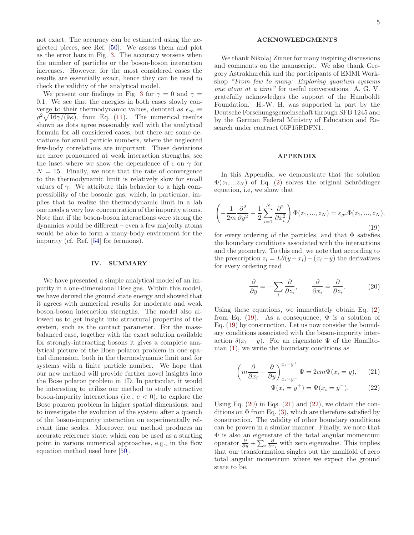not exact. The accuracy can be estimated using the neglected pieces, see Ref. [\[50\]](#page-5-26). We assess them and plot as the error bars in Fig. [3.](#page-3-2) The accuracy worsens when the number of particles or the boson-boson interaction increases. However, for the most considered cases the results are essentially exact, hence they can be used to check the validity of the analytical model.

We present our findings in Fig. [3](#page-3-2) for  $\gamma = 0$  and  $\gamma =$ 0.1. We see that the energies in both cases slowly converge to their thermodynamic values, denoted as  $\epsilon_{\infty} \equiv$  $\rho^2 \sqrt{16\gamma/(9\kappa)}$ , from Eq. [\(11\)](#page-1-5). The numerical results shown as dots agree reasonably well with the analytical formula for all considered cases, but there are some deviations for small particle numbers, where the neglected few-body correlations are important. These deviations are more pronounced at weak interaction strengths, see the inset where we show the dependence of  $\epsilon$  on  $\gamma$  for  $N = 15$ . Finally, we note that the rate of convergence to the thermodynamic limit is relatively slow for small values of  $\gamma$ . We attribute this behavior to a high compressibility of the bosonic gas, which, in particular, implies that to realize the thermodynamic limit in a lab one needs a very low concentration of the impurity atoms. Note that if the boson-boson interactions were strong the dynamics would be different – even a few majority atoms would be able to form a many-body enviroment for the impurity (cf. Ref. [\[54](#page-5-30)] for fermions).

#### IV. SUMMARY

We have presented a simple analytical model of an impurity in a one-dimensional Bose gas. Within this model, we have derived the ground state energy and showed that it agrees with numerical results for moderate and weak boson-boson interaction strengths. The model also allowed us to get insight into structural properties of the system, such as the contact parameter. For the massbalanced case, together with the exact solution available for strongly-interacting bosons it gives a complete analytical picture of the Bose polaron problem in one spatial dimension, both in the thermodynamic limit and for systems with a finite particle number. We hope that our new method will provide further novel insights into the Bose polaron problem in 1D. In particular, it would be interesting to utilize our method to study attractive boson-impurity interactions (i.e.,  $c < 0$ ), to explore the Bose polaron problem in higher spatial dimensions, and to investigate the evolution of the system after a quench of the boson-impurity interaction on experimentally relevant time scales. Moreover, our method produces an accurate reference state, which can be used as a starting point in various numerical approaches, e.g., in the flow equation method used here [\[50](#page-5-26)].

#### ACKNOWLEDGMENTS

We thank Nikolaj Zinner for many inspiring discussions and comments on the manuscript. We also thank Gregory Astrakharchik and the participants of EMMI Workshop "From few to many: Exploring quantum systems one atom at a time" for useful conversations. A. G. V. gratefully acknowledges the support of the Humboldt Foundation. H.-W. H. was supported in part by the Deutsche Forschungsgemeinschaft through SFB 1245 and by the German Federal Ministry of Education and Research under contract 05P15RDFN1.

## APPENDIX

In this Appendix, we demonstrate that the solution  $\Phi(z_1,...z_N)$  of Eq. [\(2\)](#page-1-0) solves the original Schrödinger equation, i.e, we show that

<span id="page-4-0"></span>
$$
\left(-\frac{1}{2m}\frac{\partial^2}{\partial y^2} - \frac{1}{2}\sum_{i=1}^N \frac{\partial^2}{\partial x_i^2}\right)\Phi(z_1, ..., z_N) = \varepsilon_{gr}\Phi(z_1, ..., z_N),\tag{19}
$$

for every ordering of the particles, and that  $\Phi$  satisfies the boundary conditions associated with the interactions and the geometry. To this end, we note that according to the prescription  $z_i = L\theta(y - x_i) + (x_i - y)$  the derivatives for every ordering read

<span id="page-4-1"></span>
$$
\frac{\partial}{\partial y} = -\sum_{i} \frac{\partial}{\partial z_{i}}, \qquad \frac{\partial}{\partial x_{i}} = \frac{\partial}{\partial z_{i}}.
$$
 (20)

Using these equations, we immediately obtain Eq. [\(2\)](#page-1-0) from Eq. [\(19\)](#page-4-0). As a consequence,  $\Phi$  is a solution of Eq. [\(19\)](#page-4-0) by construction. Let us now consider the boundary conditions associated with the boson-impurity interaction  $\delta(x_i - y)$ . For an eigenstate  $\Psi$  of the Hamiltonian  $(1)$ , we write the boundary conditions as

<span id="page-4-2"></span>
$$
\left(m\frac{\partial}{\partial x_i} - \frac{\partial}{\partial y}\right)^{x_i = y^+}_{x_i = y^-} \Psi = 2cm\Psi(x_i = y), \qquad (21)
$$

$$
\Psi(x_i = y^+) = \Psi(x_i = y^-). \tag{22}
$$

Using Eq.  $(20)$  in Eqs.  $(21)$  and  $(22)$ , we obtain the conditions on  $\Phi$  from Eq. [\(3\)](#page-1-8), which are therefore satisfied by construction. The validity of other boundary conditions can be proven in a similar manner. Finally, we note that  $\Phi$  is also an eigenstate of the total angular momentum operator  $\frac{\partial}{\partial y} + \sum_i \frac{\partial}{\partial x_i}$  with zero eigenvalue. This implies that our transformation singles out the manifold of zero total angular momentum where we expect the ground state to be.